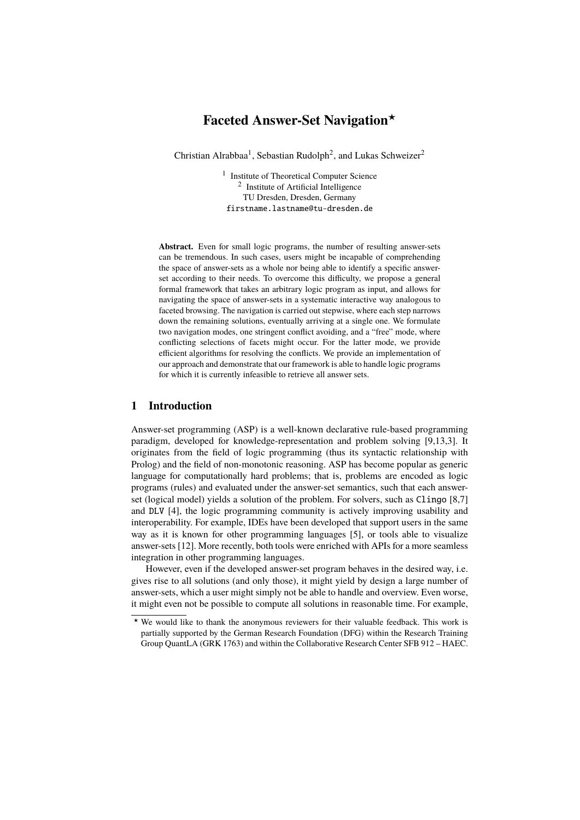# **Faceted Answer-Set Navigation**?

Christian Alrabbaa<sup>1</sup>, Sebastian Rudolph<sup>2</sup>, and Lukas Schweizer<sup>2</sup>

<sup>1</sup> Institute of Theoretical Computer Science 2 Institute of Artificial Intelligence TU Dresden, Dresden, Germany firstname.lastname@tu-dresden.de

**Abstract.** Even for small logic programs, the number of resulting answer-sets can be tremendous. In such cases, users might be incapable of comprehending the space of answer-sets as a whole nor being able to identify a specific answerset according to their needs. To overcome this difficulty, we propose a general formal framework that takes an arbitrary logic program as input, and allows for navigating the space of answer-sets in a systematic interactive way analogous to faceted browsing. The navigation is carried out stepwise, where each step narrows down the remaining solutions, eventually arriving at a single one. We formulate two navigation modes, one stringent conflict avoiding, and a "free" mode, where conflicting selections of facets might occur. For the latter mode, we provide efficient algorithms for resolving the conflicts. We provide an implementation of our approach and demonstrate that our framework is able to handle logic programs for which it is currently infeasible to retrieve all answer sets.

## **1 Introduction**

Answer-set programming (ASP) is a well-known declarative rule-based programming paradigm, developed for knowledge-representation and problem solving [\[9](#page-13-0)[,13](#page-13-1)[,3\]](#page-12-0). It originates from the field of logic programming (thus its syntactic relationship with Prolog) and the field of non-monotonic reasoning. ASP has become popular as generic language for computationally hard problems; that is, problems are encoded as logic programs (rules) and evaluated under the answer-set semantics, such that each answerset (logical model) yields a solution of the problem. For solvers, such as Clingo [\[8](#page-13-2)[,7\]](#page-13-3) and DLV [\[4\]](#page-12-1), the logic programming community is actively improving usability and interoperability. For example, IDEs have been developed that support users in the same way as it is known for other programming languages [\[5\]](#page-13-4), or tools able to visualize answer-sets [\[12\]](#page-13-5). More recently, both tools were enriched with APIs for a more seamless integration in other programming languages.

However, even if the developed answer-set program behaves in the desired way, i.e. gives rise to all solutions (and only those), it might yield by design a large number of answer-sets, which a user might simply not be able to handle and overview. Even worse, it might even not be possible to compute all solutions in reasonable time. For example,

 $*$  We would like to thank the anonymous reviewers for their valuable feedback. This work is partially supported by the German Research Foundation (DFG) within the Research Training Group QuantLA (GRK 1763) and within the Collaborative Research Center SFB 912 – HAEC.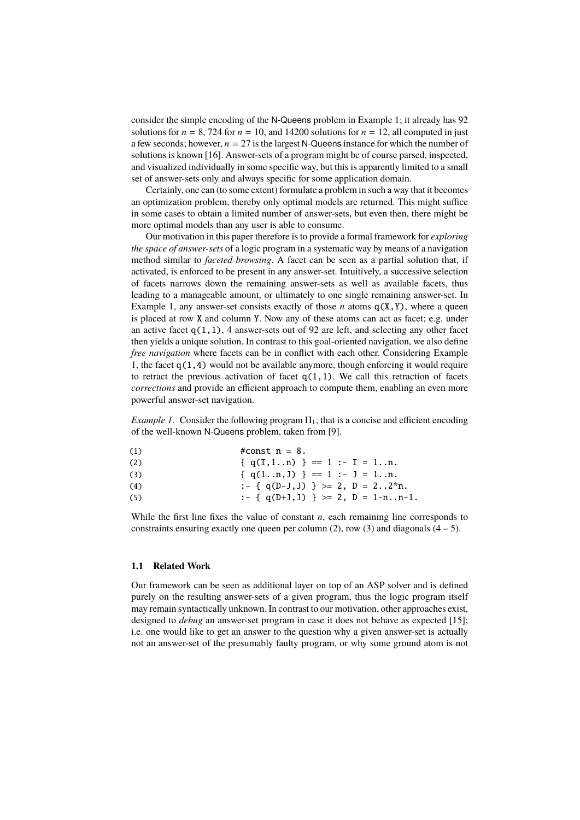consider the simple encoding of the N-Queens problem in Example [1;](#page-1-0) it already has 92 solutions for  $n = 8$ , 724 for  $n = 10$ , and 14200 solutions for  $n = 12$ , all computed in just a few seconds; however,  $n = 27$  is the largest N-Queens instance for which the number of solutions is known [\[16\]](#page-13-6). Answer-sets of a program might be of course parsed, inspected, and visualized individually in some specific way, but this is apparently limited to a small set of answer-sets only and always specific for some application domain.

Certainly, one can (to some extent) formulate a problem in such a way that it becomes an optimization problem, thereby only optimal models are returned. This might suffice in some cases to obtain a limited number of answer-sets, but even then, there might be more optimal models than any user is able to consume.

Our motivation in this paper therefore is to provide a formal framework for *exploring the space of answer-sets* of a logic program in a systematic way by means of a navigation method similar to *faceted browsing*. A facet can be seen as a partial solution that, if activated, is enforced to be present in any answer-set. Intuitively, a successive selection of facets narrows down the remaining answer-sets as well as available facets, thus leading to a manageable amount, or ultimately to one single remaining answer-set. In Example [1,](#page-1-0) any answer-set consists exactly of those *n* atoms  $q(X, Y)$ , where a queen is placed at row X and column Y. Now any of these atoms can act as facet; e.g. under an active facet  $q(1,1)$ , 4 answer-sets out of 92 are left, and selecting any other facet then yields a unique solution. In contrast to this goal-oriented navigation, we also define *free navigation* where facets can be in conflict with each other. Considering Example [1,](#page-1-0) the facet  $q(1,4)$  would not be available anymore, though enforcing it would require to retract the previous activation of facet  $q(1,1)$ . We call this retraction of facets *corrections* and provide an efficient approach to compute them, enabling an even more powerful answer-set navigation.

<span id="page-1-0"></span>*Example 1.* Consider the following program  $\Pi_1$ , that is a concise and efficient encoding of the well-known N-Queens problem, taken from [\[9\]](#page-13-0).

| (1) | #const $n = 8$ .                     |
|-----|--------------------------------------|
| (2) | { $q(I,1n)$ } == 1 :- I = 1n.        |
| (3) | { $q(1n,1)$ } == 1 :- J = 1n.        |
| (4) | :- { $q(D-1,1)$ } >= 2, D = 22*n.    |
| (5) | :- { $q(D+J, J)$ } >= 2, D = 1-nn-1. |

While the first line fixes the value of constant  $n$ , each remaining line corresponds to constraints ensuring exactly one queen per column (2), row (3) and diagonals  $(4 - 5)$ .

#### **1.1 Related Work**

Our framework can be seen as additional layer on top of an ASP solver and is defined purely on the resulting answer-sets of a given program, thus the logic program itself may remain syntactically unknown. In contrast to our motivation, other approaches exist, designed to *debug* an answer-set program in case it does not behave as expected [\[15\]](#page-13-7); i.e. one would like to get an answer to the question why a given answer-set is actually not an answer-set of the presumably faulty program, or why some ground atom is not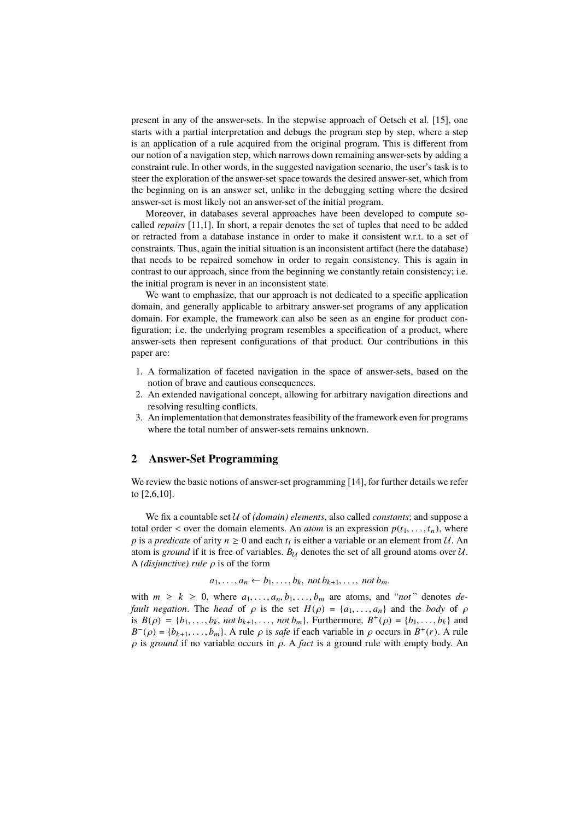present in any of the answer-sets. In the stepwise approach of Oetsch et al. [\[15\]](#page-13-7), one starts with a partial interpretation and debugs the program step by step, where a step is an application of a rule acquired from the original program. This is different from our notion of a navigation step, which narrows down remaining answer-sets by adding a constraint rule. In other words, in the suggested navigation scenario, the user's task is to steer the exploration of the answer-set space towards the desired answer-set, which from the beginning on is an answer set, unlike in the debugging setting where the desired answer-set is most likely not an answer-set of the initial program.

Moreover, in databases several approaches have been developed to compute socalled *repairs* [\[11,](#page-13-8)[1\]](#page-12-2). In short, a repair denotes the set of tuples that need to be added or retracted from a database instance in order to make it consistent w.r.t. to a set of constraints. Thus, again the initial situation is an inconsistent artifact (here the database) that needs to be repaired somehow in order to regain consistency. This is again in contrast to our approach, since from the beginning we constantly retain consistency; i.e. the initial program is never in an inconsistent state.

We want to emphasize, that our approach is not dedicated to a specific application domain, and generally applicable to arbitrary answer-set programs of any application domain. For example, the framework can also be seen as an engine for product configuration; i.e. the underlying program resembles a specification of a product, where answer-sets then represent configurations of that product. Our contributions in this paper are:

- 1. A formalization of faceted navigation in the space of answer-sets, based on the notion of brave and cautious consequences.
- 2. An extended navigational concept, allowing for arbitrary navigation directions and resolving resulting conflicts.
- 3. An implementation that demonstrates feasibility of the framework even for programs where the total number of answer-sets remains unknown.

### <span id="page-2-0"></span>**2 Answer-Set Programming**

We review the basic notions of answer-set programming [\[14\]](#page-13-9), for further details we refer to [\[2](#page-12-3)[,6](#page-13-10)[,10\]](#page-13-11).

We fix a countable set U of *(domain) elements*, also called *constants*; and suppose a total order  $\lt$  over the domain elements. An *atom* is an expression  $p(t_1, \ldots, t_n)$ , where *p* is a *predicate* of arity  $n \geq 0$  and each  $t_i$  is either a variable or an element from U. An atom is *ground* if it is free of variables.  $B_{\mathcal{U}}$  denotes the set of all ground atoms over  $\mathcal{U}$ . <sup>A</sup> *(disjunctive) rule* ρ is of the form

$$
a_1, \ldots, a_n \leftarrow b_1, \ldots, b_k, \text{ not } b_{k+1}, \ldots, \text{ not } b_m.
$$

with  $m \geq k \geq 0$ , where  $a_1, \ldots, a_n, b_1, \ldots, b_m$  are atoms, and "*not*" denotes *default negation.* The *head* of  $\rho$  is the set  $H(\rho) = \{a_1, \ldots, a_n\}$  and the *body* of  $\rho$ is  $B(\rho) = \{b_1, \ldots, b_k, \text{ not } b_{k+1}, \ldots, \text{ not } b_m\}$ . Furthermore,  $B^+(\rho) = \{b_1, \ldots, b_k\}$  and  $B^-(\rho) = \{b_1, \ldots, b_k\}$ . A rule  $\rho$  is safe if each variable in  $\rho$  occurs in  $B^+(\rho)$ . A rule  $B^{-}(p) = \{b_{k+1}, \ldots, b_m\}$ . A rule  $\rho$  is *safe* if each variable in  $\rho$  occurs in  $B^{+}(r)$ . A rule *o* is *around* if no variable occurs in  $\rho$ . A fect is a ground rule with empty body. An  $\rho$  is *ground* if no variable occurs in  $\rho$ . A *fact* is a ground rule with empty body. An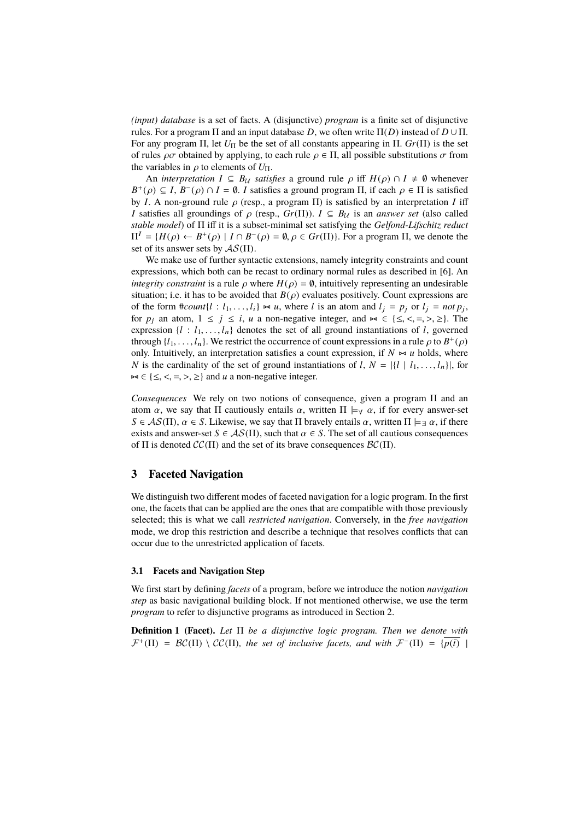*(input) database* is a set of facts. A (disjunctive) *program* is a finite set of disjunctive rules. For a program  $\Pi$  and an input database *D*, we often write  $\Pi(D)$  instead of  $D \cup \Pi$ . For any program Π, let *U*<sup>Π</sup> be the set of all constants appearing in Π. *Gr*(Π) is the set of rules  $\rho\sigma$  obtained by applying, to each rule  $\rho \in \Pi$ , all possible substitutions  $\sigma$  from the variables in  $\rho$  to elements of  $U_{\Pi}$ .

An *interpretation*  $I \subseteq B_U$  *satisfies* a ground rule  $\rho$  iff  $H(\rho) \cap I \neq \emptyset$  whenever  $B^+(\rho) \subseteq I$ ,  $B^-(\rho) \cap I = \emptyset$ . *I* satisfies a ground program Π, if each  $\rho \in \Pi$  is satisfied<br>by *I* A non-ground rule  $\rho$  (resp. a program Π) is satisfied by an interpretation *I* if by *I*. A non-ground rule  $\rho$  (resp., a program  $\Pi$ ) is satisfied by an interpretation *I* iff *I* satisfies all groundings of  $\rho$  (resp.,  $Gr(\Pi)$ ).  $I \subseteq B_U$  is an *answer set* (also called *stable model*) of Π iff it is a subset-minimal set satisfying the *Gelfond-Lifschitz reduct*  $\Pi^I = \{H(\rho) \leftarrow B^+(\rho) \mid I \cap B^-(\rho) = \emptyset, \rho \in Gr(\Pi)\}.$  For a program  $\Pi$ , we denote the set of its answer sets by  $AS(\Pi)$ set of its answer sets by  $\mathcal{AS}(\Pi)$ .

We make use of further syntactic extensions, namely integrity constraints and count expressions, which both can be recast to ordinary normal rules as described in [\[6\]](#page-13-10). An *integrity constraint* is a rule  $\rho$  where  $H(\rho) = \emptyset$ , intuitively representing an undesirable situation; i.e. it has to be avoided that  $B(\rho)$  evaluates positively. Count expressions are of the form  $\#count\{l : l_1, \ldots, l_i\} \bowtie u$ , where *l* is an atom and  $l_j = p_j$  or  $l_j = not p_j$ , for  $n_i$  an atom  $1 \le i \le j$   $u_j$  a non-negative integer and  $\bowtie \in \{ \le i \le j \le n \}$ . The for  $p_j$  an atom,  $1 \le j \le i$ , *u* a non-negative integer, and  $\in \{\le, <, =, >, \ge\}$ . The expression  $\{l : l_1, \ldots, l_n\}$  denotes the set of all ground instantiations of *l*, governed through  $\{l_1, \ldots, l_n\}$ . We restrict the occurrence of count expressions in a rule  $\rho$  to  $B^+(\rho)$ <br>only Intuitively an interpretation satisfies a count expression if  $N \sim u$  holds, where only. Intuitively, an interpretation satisfies a count expression, if  $N \approx u$  holds, where *N* is the cardinality of the set of ground instantiations of *l*,  $N = |\{l \mid l_1, \ldots, l_n\}|$ , for  $\bowtie \in \{\le, <, =, >, \ge\}$  and *u* a non-negative integer.

*Consequences* We rely on two notions of consequence, given a program Π and an atom  $\alpha$ , we say that  $\Pi$  cautiously entails  $\alpha$ , written  $\Pi \models_{\forall} \alpha$ , if for every answer-set  $S \in \mathcal{AS}(\Pi)$ ,  $\alpha \in S$ . Likewise, we say that  $\Pi$  bravely entails  $\alpha$ , written  $\Pi \models \exists \alpha$ , if there exists and answer-set  $S \in \mathcal{AS}(\Pi)$ , such that  $\alpha \in S$ . The set of all cautious consequences of  $\Pi$  is denoted  $\mathcal{CC}(\Pi)$  and the set of its brave consequences  $\mathcal{BC}(\Pi)$ .

## **3 Faceted Navigation**

We distinguish two different modes of faceted navigation for a logic program. In the first one, the facets that can be applied are the ones that are compatible with those previously selected; this is what we call *restricted navigation*. Conversely, in the *free navigation* mode, we drop this restriction and describe a technique that resolves conflicts that can occur due to the unrestricted application of facets.

#### **3.1 Facets and Navigation Step**

We first start by defining *facets* of a program, before we introduce the notion *navigation step* as basic navigational building block. If not mentioned otherwise, we use the term *program* to refer to disjunctive programs as introduced in Section [2.](#page-2-0)

**Definition 1 (Facet).** *Let* Π *be a disjunctive logic program. Then we denote with*  $\mathcal{F}^+(\Pi) = \mathcal{BC}(\Pi) \setminus \mathcal{CC}(\Pi)$ , the set of inclusive facets, and with  $\mathcal{F}^-(\Pi) = \{p(\overline{t}) \mid$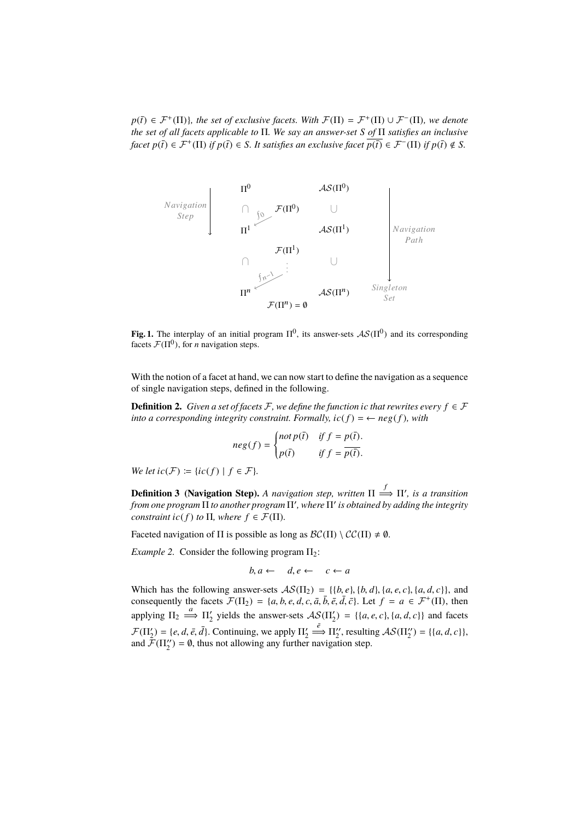$p(\bar{t}) \in \mathcal{F}^+(\Pi)$ , the set of exclusive facets. With  $\mathcal{F}(\Pi) = \mathcal{F}^+(\Pi) \cup \mathcal{F}^-(\Pi)$ , we denote *the set of all facets applicable to* Π*. We say an answer-set S of* Π *satisfies an inclusive facet*  $p(\overline{t}) \in \mathcal{F}^+(\Pi)$  *if*  $p(\overline{t}) \in S$ *. It satisfies an exclusive facet*  $\overline{p(\overline{t})} \in \mathcal{F}^-(\Pi)$  *if*  $p(\overline{t}) \notin S$ *.* 



<span id="page-4-1"></span>Fig. 1. The interplay of an initial program  $\Pi^0$ , its answer-sets  $\mathcal{AS}(\Pi^0)$  and its corresponding facets  $\mathcal{F}(\Pi^0)$ , for *n* navigation steps.

With the notion of a facet at hand, we can now start to define the navigation as a sequence of single navigation steps, defined in the following.

**Definition 2.** *Given a set of facets*  $\mathcal{F}$ *, we define the function ic that rewrites every*  $f \in \mathcal{F}$ *into a corresponding integrity constraint. Formally,*  $ic(f) = \leftarrow neg(f)$ *, with* 

$$
neg(f) = \begin{cases} not \ p(\bar{t}) & \text{if } f = p(\bar{t}).\\ p(\bar{t}) & \text{if } f = \overline{p(\bar{t})}. \end{cases}
$$

*We let*  $ic(F) := \{ic(f) | f \in F\}.$ 

**Definition 3** (Navigation Step). A navigation step, written  $\Pi \stackrel{f}{\Longrightarrow} \Pi'$ , is a transition *from one program* Π *to another program* Π 0 *, where* Π 0 *is obtained by adding the integrity constraint ic*(*f*) *to*  $\Pi$ *, where*  $f \in \mathcal{F}(\Pi)$ *.* 

Faceted navigation of  $\Pi$  is possible as long as  $\mathcal{BC}(\Pi) \setminus \mathcal{CC}(\Pi) \neq \emptyset$ .

<span id="page-4-0"></span>*Example [2](#page-4-0).* Consider the following program  $\Pi_2$ :

$$
b, a \leftarrow d, e \leftarrow c \leftarrow a
$$

Which has the following answer-sets  $\mathcal{AS}(\Pi_2) = \{\{b, e\}, \{b, d\}, \{a, e, c\}, \{a, d, c\}\}\)$  $\mathcal{AS}(\Pi_2) = \{\{b, e\}, \{b, d\}, \{a, e, c\}, \{a, d, c\}\}\)$  $\mathcal{AS}(\Pi_2) = \{\{b, e\}, \{b, d\}, \{a, e, c\}, \{a, d, c\}\}\)$ , and consequently the facets  $\mathcal{F}(\Pi_2) = \{a, b, e, d, c, \bar{a}, \bar{b}, \bar{e}, \bar{d}, \bar{c}\}$  $\mathcal{F}(\Pi_2) = \{a, b, e, d, c, \bar{a}, \bar{b}, \bar{e}, \bar{d}, \bar{c}\}$  $\mathcal{F}(\Pi_2) = \{a, b, e, d, c, \bar{a}, \bar{b}, \bar{e}, \bar{d}, \bar{c}\}$ . Let  $f = a \in \mathcal{F}^+(\Pi)$ , then applying  $\Pi_2 \stackrel{a}{\implies} \Pi'_2$  $\Pi_2 \stackrel{a}{\implies} \Pi'_2$  $\Pi_2 \stackrel{a}{\implies} \Pi'_2$  yields the answer-sets  $\mathcal{AS}(\Pi'_2) = \{ \{a, e, c\}, \{a, d, c\} \}$  and facets  $\mathcal{F}(\Pi_2') = \{e, d, \bar{e}, \bar{d}\}$  $\mathcal{F}(\Pi_2') = \{e, d, \bar{e}, \bar{d}\}$  $\mathcal{F}(\Pi_2') = \{e, d, \bar{e}, \bar{d}\}$ . Continuing, we apply  $\Pi_2'$ <br>and  $\mathcal{F}(\Pi_2'') = \emptyset$ , thus not allowing any further  $\stackrel{\bar{e}}{\Longrightarrow} \Pi''_2$  $\stackrel{\bar{e}}{\Longrightarrow} \Pi''_2$ , resulting  $\mathcal{AS}(\Pi''_2) = \{\{a, d, c\}\},$ and  $\tilde{\mathcal{F}}(\Pi_2'') = \emptyset$  $\tilde{\mathcal{F}}(\Pi_2'') = \emptyset$  $\tilde{\mathcal{F}}(\Pi_2'') = \emptyset$ , thus not allowing any further navigation step.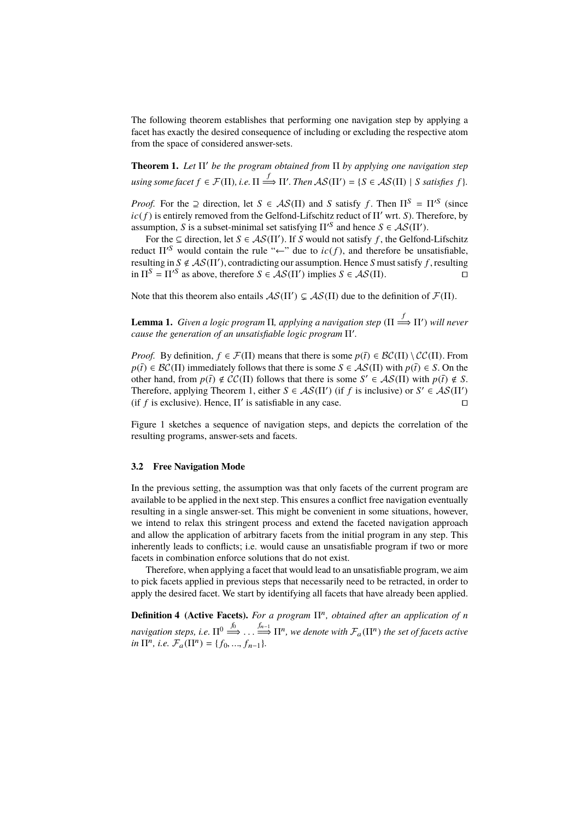The following theorem establishes that performing one navigation step by applying a facet has exactly the desired consequence of including or excluding the respective atom from the space of considered answer-sets.

<span id="page-5-0"></span>**Theorem 1.** *Let* Π <sup>0</sup> *be the program obtained from* Π *by applying one navigation step*  $using$  *some facet*  $f \in \mathcal{F}(\Pi)$ , *i.e.*  $\Pi \stackrel{f}{\Longrightarrow} \Pi'$ . Then  $\mathcal{AS}(\Pi') = \{S \in \mathcal{AS}(\Pi) \mid S \text{ satisfies } f\}.$ 

*Proof.* For the  $\supseteq$  direction, let  $S \in AS(\Pi)$  and *S* satisfy *f*. Then  $\Pi^S = \Pi'^S$  (since *ic*(*f*) is entirely removed from the Gelfond-Lifschitz reduct of Π' wrt. *S*). Therefore, by assumption, *S* is a subset-minimal set satisfying  $\Pi^{S}$  and hence  $S \in \mathcal{AS}(\Pi')$ .

For the  $\subseteq$  direction, let  $S \in AS(\Pi')$ . If *S* would not satisfy *f*, the Gelfond-Lifschitz reduct  $\Pi^{\prime S}$  would contain the rule "←" due to  $ic(f)$ , and therefore be unsatisfiable, resulting in  $S \notin AS(\Pi')$ , contradicting our assumption. Hence *S* must satisfy *f*, resulting in  $\Pi^S = \Pi'^S$  as above, therefore  $S \in \mathcal{AS}(\Pi')$  implies  $S \in \mathcal{AS}(\Pi)$ .

Note that this theorem also entails  $\mathcal{AS}(\Pi') \subsetneq \mathcal{AS}(\Pi)$  due to the definition of  $\mathcal{F}(\Pi)$ .

**Lemma 1.** *Given a logic program* Π, *applying a navigation step* (Π  $\stackrel{f}{\Longrightarrow}$  Π') *will never cause the generation of an unsatisfiable logic program* Π 0 *.*

*Proof.* By definition,  $f \in \mathcal{F}(\Pi)$  means that there is some  $p(\bar{t}) \in \mathcal{BC}(\Pi) \setminus \mathcal{CC}(\Pi)$ . From  $p(\bar{t}) \in BC(\Pi)$  immediately follows that there is some  $S \in AS(\Pi)$  with  $p(\bar{t}) \in S$ . On the other hand, from  $p(\bar{t}) \notin CC(\Pi)$  follows that there is some  $S' \in AS(\Pi)$  with  $p(\bar{t}) \notin S$ . Therefore, applying Theorem 1, either  $S \in AS(\Pi')$  (if *f* is inclusive) or  $S' \in AS(\Pi')$ (if *f* is exclusive). Hence,  $\Pi'$  is satisfiable in any case.

Figure [1](#page-4-1) sketches a sequence of navigation steps, and depicts the correlation of the resulting programs, answer-sets and facets.

#### **3.2 Free Navigation Mode**

In the previous setting, the assumption was that only facets of the current program are available to be applied in the next step. This ensures a conflict free navigation eventually resulting in a single answer-set. This might be convenient in some situations, however, we intend to relax this stringent process and extend the faceted navigation approach and allow the application of arbitrary facets from the initial program in any step. This inherently leads to conflicts; i.e. would cause an unsatisfiable program if two or more facets in combination enforce solutions that do not exist.

Therefore, when applying a facet that would lead to an unsatisfiable program, we aim to pick facets applied in previous steps that necessarily need to be retracted, in order to apply the desired facet. We start by identifying all facets that have already been applied.

**Definition 4 (Active Facets).** *For a program* Π n *, obtained after an application of n navigation steps, i.e.*  $\Pi^0 \stackrel{\text{f}_0}{\Longrightarrow} \ldots \stackrel{\text{f}_{n-1}}{\Longrightarrow} \Pi^n$ , we denote with  $\mathcal{F}_a(\Pi^n)$  the set of facets active in  $\Pi^n$  i.e.  $\mathcal{F}_a(\Pi^n) - \text{f}_a$  f *in*  $\Pi^n$ *, i.e.*  $\mathcal{F}_a(\Pi^n) = \{f_0, ..., f_{n-1}\}.$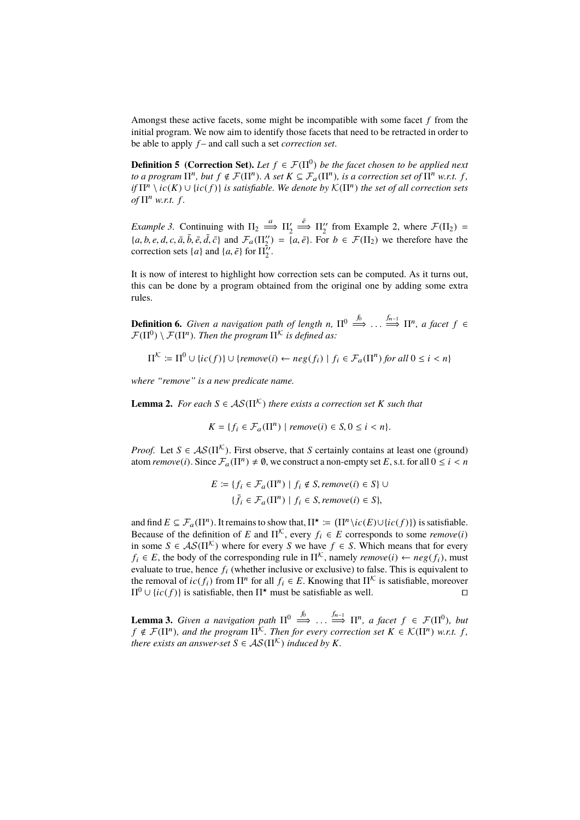Amongst these active facets, some might be incompatible with some facet *f* from the initial program. We now aim to identify those facets that need to be retracted in order to be able to apply *f* – and call such a set *correction set*.

**Definition 5** (Correction Set). Let  $f \in \mathcal{F}(\Pi^0)$  be the facet chosen to be applied next *to a program*  $\Pi^n$ *, but*  $f \notin \mathcal{F}(\Pi^n)$ *. A set*  $K \subseteq \mathcal{F}_a(\Pi^n)$ *, is a correction set of*  $\Pi^n$  *w.r.t.*  $f$ *, if*  $\Pi^n \setminus ic(K) \cup \{ic(f)\}\$ is satisfiable. We denote by  $K(\Pi^n)$  the set of all correction sets  $of \prod^n w.r.t.$   $f$ .

<span id="page-6-0"></span>*Example 3.* Continuing with  $\Pi_2 \stackrel{a}{\implies} \Pi'_2$  $\Pi_2 \stackrel{a}{\implies} \Pi'_2$  $\Pi_2 \stackrel{a}{\implies} \Pi'_2$  $\stackrel{\bar{e}}{\Longrightarrow} \Pi_2''$  $\stackrel{\bar{e}}{\Longrightarrow} \Pi_2''$  $\stackrel{\bar{e}}{\Longrightarrow} \Pi_2''$  from Example [2,](#page-4-0) where  $\mathcal{F}(\Pi_2)$  =  ${a, b, e, d, c, \bar{a}, \bar{b}, \bar{e}, \bar{d}, \bar{c}}$  and  $\mathcal{F}_a(\Pi_2^{\prime\prime}) = {a, \bar{e}}$  $\mathcal{F}_a(\Pi_2^{\prime\prime}) = {a, \bar{e}}$  $\mathcal{F}_a(\Pi_2^{\prime\prime}) = {a, \bar{e}}$ . For  $b \in \mathcal{F}(\Pi_2)$  we therefore have the correction sets *[a*] and *[a*  $\bar{e}$ ] for  $\Pi^{\prime\prime}$ correction sets  $\{a\}$  and  $\{a, \bar{e}\}\$ for  $\Pi_2^{\bar{r}}$  $\Pi_2^{\bar{r}}$  $\Pi_2^{\bar{r}}$ .

It is now of interest to highlight how correction sets can be computed. As it turns out, this can be done by a program obtained from the original one by adding some extra rules.

**Definition 6.** *Given a navigation path of length n*,  $\Pi^0 \stackrel{f_0}{\Longrightarrow} \dots \stackrel{f_{n-1}}{\Longrightarrow} \Pi^n$ , *a facet*  $f \in \mathcal{F}(\Pi^0) \setminus \mathcal{F}(\Pi^n)$ . *Then the program*  $\Pi^{\mathcal{K}}$  *is defined as:*  $\mathcal{F}(\Pi^0) \setminus \mathcal{F}(\Pi^n)$ . Then the program  $\Pi^\mathcal{K}$  is defined as:

$$
\Pi^{\mathcal{K}} := \Pi^0 \cup \{ic(f)\} \cup \{remove(i) \leftarrow neg(f_i) \mid f_i \in \mathcal{F}_a(\Pi^n) \text{ for all } 0 \le i < n\}
$$

*where "remove" is a new predicate name.*

**Lemma 2.** *For each*  $S \in AS(\Pi^{\mathcal{K}})$  *there exists a correction set*  $K$  *such that* 

$$
K = \{ f_i \in \mathcal{F}_a(\Pi^n) \mid remove(i) \in S, 0 \le i < n \}.
$$

*Proof.* Let  $S \in AS(\Pi^{\mathcal{K}})$ . First observe, that *S* certainly contains at least one (ground) atom *remove*(*i*). Since  $\mathcal{F}_a(\Pi^n) \neq \emptyset$ , we construct a non-empty set *E*, s.t. for all  $0 \leq i < n$ 

$$
E := \{ f_i \in \mathcal{F}_a(\Pi^n) \mid f_i \notin S, remove(i) \in S \} \cup
$$

$$
\{ \bar{f}_i \in \mathcal{F}_a(\Pi^n) \mid f_i \in S, remove(i) \in S \},
$$

and find  $E \subseteq \mathcal{F}_a(\Pi^n)$ . It remains to show that,  $\Pi^* := (\Pi^n \setminus ic(E) \cup \{ic(f)\})$  is satisfiable. Because of the definition of *E* and  $\Pi^k$ , every  $f_i \in E$  corresponds to some *remove*(*i*) in some  $S \in AS(\Pi^{\mathcal{K}})$  where for every *S* we have  $f \in S$ . Which means that for every  $f_i \in E$ , the body of the corresponding rule in  $\Pi^{\mathcal{K}}$ , namely *remove*(*i*) ← *neg*( $f_i$ ), must evaluate to true, hence *f*<sup>i</sup> (whether inclusive or exclusive) to false. This is equivalent to the removal of  $ic(f_i)$  from  $\Pi^n$  for all  $f_i \in E$ . Knowing that  $\Pi^{\mathcal{K}}$  is satisfiable, moreover  $\Pi^0 \cup \{ic(f)\}\$ is satisfiable, then  $\Pi^*$  must be satisfiable as well.

**Lemma 3.** *Given a navigation path*  $\Pi^0 \stackrel{f_0}{\implies} \dots \stackrel{f_{n-1}}{\implies} \Pi^n$ , *a facet*  $f \in \mathcal{F}(\Pi^0)$ , *but*  $f \notin \mathcal{F}(\Pi^n)$  and the program  $\Pi^K$ . Then for every correction set  $K \in \mathcal{K}(\Pi^n)$  w.r.t. f  $f \notin \mathcal{F}(\Pi^n)$ , and the program  $\Pi^{\overline{\mathcal{K}}}$ . Then for every correction set  $K \in \mathcal{K}(\Pi^n)$  w.r.t.  $f$ , *there exists an answer-set*  $S \in \mathcal{AS}(\Pi^{\mathcal{K}})$  *induced by K*.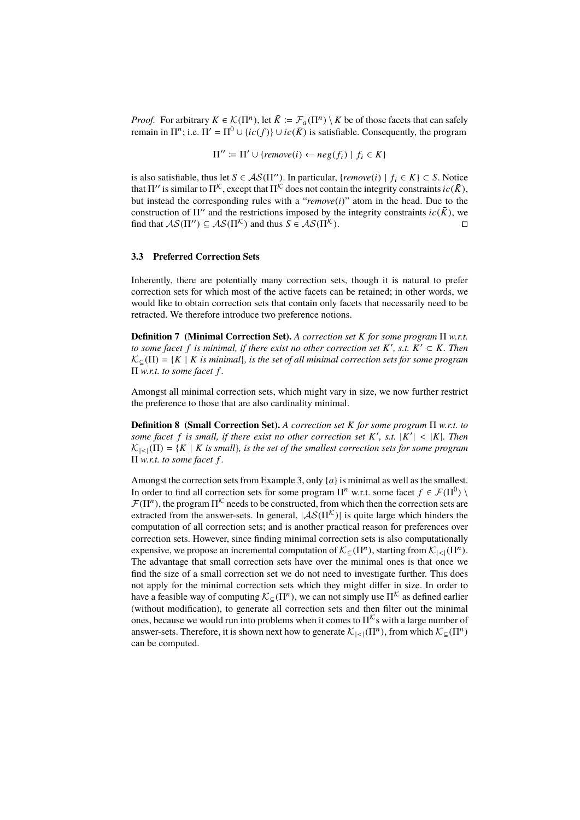*Proof.* For arbitrary  $K \in \mathcal{K}(\Pi^n)$ , let  $\overline{K} := \mathcal{F}_a(\Pi^n) \setminus K$  be of those facets that can safely remain in  $\Pi^n$ ; i.e.  $\Pi' = \Pi^0 \cup \{ic(f)\} \cup ic(\overline{K})$  is satisfiable. Consequently, the program

 $\Pi'' \coloneqq \Pi' \cup \{remove(i) \leftarrow neg(f_i) \mid f_i \in K\}$ 

is also satisfiable, thus let  $S \in \mathcal{AS}(\Pi'')$ . In particular, {*remove*(*i*) |  $f_i \in K$ }  $\subset S$ . Notice that  $\Pi''$  is similar to  $\Pi^\mathcal{K}$ , except that  $\Pi^\mathcal{K}$  does not contain the integrity constraints  $ic(\bar{K}),$ but instead the corresponding rules with a " $remove(i)$ " atom in the head. Due to the construction of  $\Pi$ <sup>*''*</sup> and the restrictions imposed by the integrity constraints  $ic(\bar{K})$ , we find that  $\mathcal{AS}(\Pi'') \subseteq \mathcal{AS}(\Pi^{\mathcal{K}})$  and thus  $S \in \mathcal{AS}(\Pi)$  $(\mathcal{K})$ .

#### **3.3 Preferred Correction Sets**

Inherently, there are potentially many correction sets, though it is natural to prefer correction sets for which most of the active facets can be retained; in other words, we would like to obtain correction sets that contain only facets that necessarily need to be retracted. We therefore introduce two preference notions.

**Definition 7 (Minimal Correction Set).** *A correction set K for some program* Π *w.r.t. to some facet*  $f$  *is minimal, if there exist no other correction set*  $K'$ , *s.t.*  $K' \subset K$ *. Then*  $\mathcal{K}_{\subset}(\Pi) = \{K \mid K \text{ is minimal}\}\$ , is the set of all minimal correction sets for some program Π *w.r.t. to some facet f .*

Amongst all minimal correction sets, which might vary in size, we now further restrict the preference to those that are also cardinality minimal.

**Definition 8 (Small Correction Set).** *A correction set K for some program* Π *w.r.t. to some facet f is small, if there exist no other correction set K'*, *s.t.*  $|K'| < |K|$ . Then<br> $K_{\text{tot}}(\Pi) - \{K | K \text{ is small} \}$  *is the set of the smallest correction sets for some program*  $\mathcal{K}_{|\leq}(\Pi) = \{K \mid K \text{ is small}\}\$ , is the set of the smallest correction sets for some program Π *w.r.t. to some facet f .*

Amongst the correction sets from Example [3,](#page-6-0) only  $\{a\}$  is minimal as well as the smallest. In order to find all correction sets for some program  $\Pi^n$  w.r.t. some facet  $f \in \mathcal{F}(\Pi^0) \setminus \mathcal{F}(\Pi^n)$  $\mathcal{F}(\Pi^n)$ , the program  $\Pi^\mathcal{K}$  needs to be constructed, from which then the correction sets are extracted from the answer-sets. In general,  $|\mathcal{AS}(\Pi^{\mathcal{K}})|$  is quite large which hinders the computation of all correction sets; and is another practical reason for preferences over correction sets. However, since finding minimal correction sets is also computationally expensive, we propose an incremental computation of  $\mathcal{K}_{\subseteq}(\Pi^n)$ , starting from  $\mathcal{K}_{\leq}(\Pi^n)$ .<br>The education that small correction sets have over the minimal ones is that once we The advantage that small correction sets have over the minimal ones is that once we find the size of a small correction set we do not need to investigate further. This does not apply for the minimal correction sets which they might differ in size. In order to have a feasible way of computing  $\mathcal{K}_{\subseteq}(\Pi^n)$ , we can not simply use  $\Pi^\mathcal{K}$  as defined earlier (without modification), to generate all correction sets and then filter out the minimal ones, because we would run into problems when it comes to  $\Pi^\mathcal{K}$ s with a large number of answer-sets. Therefore, it is shown next how to generate  $\mathcal{K}_{|\leq}(\Pi^n)$ , from which  $\mathcal{K}_{\subseteq}(\Pi^n)$ can be computed.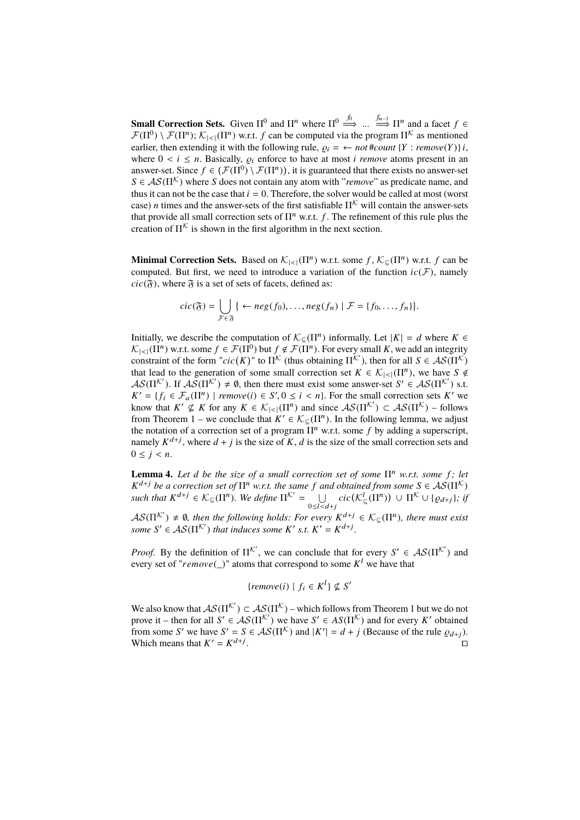**Small Correction Sets.** Given  $\Pi^0$  and  $\Pi^n$  where  $\Pi^0 \stackrel{\text{f}_0}{\implies} ... \stackrel{\text{f}_{n-1}}{\implies} \Pi^n$  and a facet  $f \in$  $\mathcal{F}(\Pi^0) \setminus \mathcal{F}(\Pi^n)$ ;  $\mathcal{K}_{|\leq}(\Pi^n)$  w.r.t. *f* can be computed via the program  $\Pi^{\mathcal{K}}$  as mentioned earlier, then extending it with the following rule,  $\rho_i = \leftarrow not\text{#count } \{Y : remove(Y)\}$  *i*, where  $0 < i \leq n$ . Basically,  $\varrho_i$  enforce to have at most *i remove* atoms present in an answer-set. Since  $f \in (\mathcal{F}(\Pi^0) \setminus \mathcal{F}(\Pi^n))$ , it is guaranteed that there exists no answer-set  $S \in \mathcal{AS}(\Pi^{\mathcal{K}})$  where *S* does not contain any atom with "*remove*" as predicate name, and thus it can not be the case that  $i = 0$ . Therefore, the solver would be called at most (worst case) *n* times and the answer-sets of the first satisfiable  $\Pi^{\mathcal{K}}$  will contain the answer-sets that provide all small correction sets of  $\Pi^n$  w.r.t.  $f$ . The refinement of this rule plus the creation of  $\Pi^{\mathcal{K}}$  is shown in the first algorithm in the next section.

**Minimal Correction Sets.** Based on  $\mathcal{K}_{|\leq}(\Pi^n)$  w.r.t. some *f*,  $\mathcal{K}_{\subseteq}(\Pi^n)$  w.r.t. *f* can be computed. But first, we need to introduce a variation of the function  $i\in\mathcal{F}$ ), namely computed. But first, we need to introduce a variation of the function  $ic(\mathcal{F})$ , namely  $cic(\mathfrak{F})$ , where  $\mathfrak{F}$  is a set of sets of facets, defined as:

$$
circ(\mathfrak{F}) = \bigcup_{\mathcal{F} \in \mathfrak{F}} \{ \leftarrow neg(f_0), \dots, neg(f_n) \mid \mathcal{F} = \{f_0, \dots, f_n\} \}.
$$

Initially, we describe the computation of  $\mathcal{K}_{\subseteq}(\Pi^n)$  informally. Let  $|K| = d$  where  $K \in$  $\mathcal{K}_{|\leq}(\Pi^n)$  w.r.t. some  $f \in \mathcal{F}(\Pi^0)$  but  $f \notin \mathcal{F}(\Pi^n)$ . For every small  $K$ , we add an integrity constraint of the form " $e^{i\phi}(K)$ " to  $\Pi^{\mathcal{K}}$  (thus obtaining  $\Pi^{\mathcal{K}'}$ ) than for all  $S \subseteq AS(\Pi^{\mathcal{K}})$ constraint of the form " $circ(K)$ " to  $\Pi^{\mathcal{K}}$  (thus obtaining  $\Pi^{\mathcal{K}'}$ ), then for all  $S \in \mathcal{AS}(\Pi^{\mathcal{K}})$ that lead to the generation of some small correction set  $K \in \mathcal{K}_{|\langle x|}(\Pi^n)$ , we have  $S \notin \Lambda S(\Pi \mathcal{K}')$ , if  $\Lambda S(\Pi \mathcal{K}') \neq \emptyset$ , then there must exist some appure set  $S' \subseteq \Lambda S(\Pi \mathcal{K}')$  at  $\mathcal{AS}(\Pi^{\mathcal{K}'})$ . If  $\mathcal{AS}(\Pi^{\mathcal{K}'}) \neq \emptyset$ , then there must exist some answer-set  $S' \in \mathcal{AS}(\Pi^{\mathcal{K}'})$  s.t.  $K' = \{ f_i \in \mathcal{F}_a(\Pi^n) \mid remove(i) \in S', 0 \le i < n \}.$  For the small correction sets  $K'$  we know that  $K' \notin K$  for any  $K \in \mathcal{K}$ ,  $(\Pi^n)$  and since  $AS(\Pi^{\mathcal{K}'}) \subset AS(\Pi^{\mathcal{K}})$  – follows know that  $K' \nsubseteq K$  for any  $K \in \mathcal{K}_{|\leq |}(\Pi^n)$  and since  $\mathcal{AS}(\Pi^{\mathcal{K}'}) \subset \mathcal{AS}(\Pi^{\mathcal{K}})$  – follows from Theorem [1](#page-5-0) – we conclude that  $K' \in \mathcal{K}_{\subseteq}(\Pi^n)$ . In the following lemma, we adjust the notation of a correction set of a program  $\Pi^n$  w.r.t. some  $f$  by adding a superscript, namely  $K^{d+j}$ , where  $d + j$  is the size of K, d is the size of the small correction sets and  $0 \leq j < n$ .

**Lemma 4.** Let *d* be the size of a small correction set of some  $\Pi^n$  w.r.t. some f; let  $K^{d+j}$  *be a correction set of*  $\Pi^n$  *w.r.t. the same f and obtained from some*  $S \in \mathcal{AS}(\Pi^{\mathcal{K}})$ *such that*  $K^{d+j} \in \mathcal{K}_{\subseteq}(\Pi^n)$ *. We define*  $\Pi^{\mathcal{K}'} = \cup$  $0 \le l \le d+j$  $\operatorname{circ}(\mathcal{K}^l_{\subseteq}(\Pi^n)) \cup \Pi^{\mathcal{K}} \cup \{\varrho_{d+j}\};\,ij$ 

 $\mathcal{AS}(\Pi^{\mathcal{K}'}) \neq \emptyset$ , then the following holds: For every  $K^{d+j} \in \mathcal{K}_{\subseteq}(\Pi^n)$ , there must exist some  $S' \in AS(\Pi^{\mathcal{K}'})$  *that induces some*  $K'$  *s.t.*  $K' = K^{d+j}$ *.* 

*Proof.* By the definition of  $\Pi^{k'}$ , we can conclude that for every  $S' \in AS(\Pi^{k'})$  and every set of " $remove(\_)$ " atoms that correspond to some  $K^l$  we have that

$$
\{remove(i) \mid f_i \in K^l\} \nsubseteq S'
$$

We also know that  $\mathcal{AS}(\Pi^{\mathcal{K}'}) \subset \mathcal{AS}(\Pi^{\mathcal{K}})$  – which follows from Theorem [1](#page-5-0) but we do not prove it – then for all  $S' \in AS(\Pi^{\mathcal{K}'})$  we have  $S' \in AS(\Pi^{\mathcal{K}})$  and for every  $K'$  obtained from some *S'* we have  $S' = S \in AS(\Pi^{\mathcal{K}})$  and  $|K'| = d + j$  (Because of the rule  $\varrho_{d+j}$ ).<br>Which means that  $K' = K^{d+j}$ Which means that  $K' = K^{d+j}$ . Utilization of the contract of the contract of the contract of the contract of the contract of the contract of the contract of the contract of the contract of the contract of the contract of the contract of the contract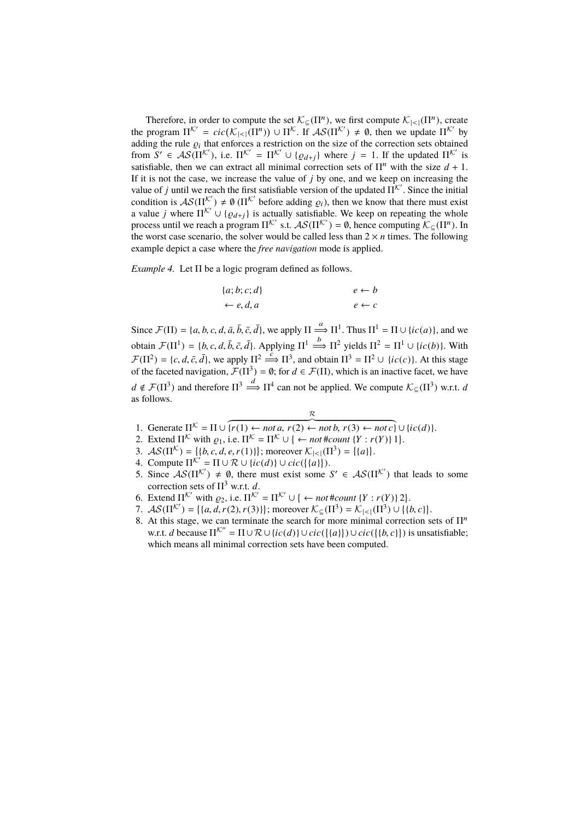Therefore, in order to compute the set  $\mathcal{K}_{\subseteq}(\Pi^n)$ , we first compute  $\mathcal{K}_{|\leq}(\Pi^n)$ , create the program  $\Pi^{K'} = \text{circ}(K_{|\leq}|(\Pi^n)) \cup \Pi^{K}$ . If  $\mathcal{AS}(\Pi^{K'}) \neq \emptyset$ , then we update  $\Pi^{K'}$  by adding the rule  $\varrho_i$  that enforces a restriction on the size of the correction sets obtained<br>from  $S' \in AS(\Pi^{K'})$  i.e.  $\Pi^{K'} = \Pi^{K'} \cup \{ \varrho_i \}$ , where  $i = 1$ . If the undated  $\Pi^{K'}$  is from  $S' \in AS(\Pi^{K'})$ , i.e.  $\Pi^{K'} = \Pi^{K'} \cup \{ \varrho_{d+j} \}$  where  $j = 1$ . If the updated  $\Pi^{K'}$  is estimidable, then we can extract all minimal correction sets of  $\Pi^n$  with the size  $d+1$ satisfiable, then we can extract all minimal correction sets of  $\Pi^n$  with the size  $d + 1$ . If it is not the case, we increase the value of  $j$  by one, and we keep on increasing the value of *j* until we reach the first satisfiable version of the updated  $\Pi^{k'}$ . Since the initial condition is  $\mathcal{AS}(\Pi^{\mathcal{K}'}) \neq \emptyset$  ( $\Pi^{\mathcal{K}'}$  before adding  $\varrho_i$ ), then we know that there must exist<br>a value *j* where  $\Pi^{\mathcal{K}'} \cup {\varrho_{d+j}}$  is actually satisfiable. We keep on repeating the whole process until we reach a program  $\Pi^{\mathcal{K}^*}$  s.t.  $\mathcal{AS}(\Pi^{\mathcal{K}^*}) = \emptyset$ , hence computing  $\mathcal{K}_{\subseteq}(\Pi^n)$ . In the worst case scenario, the solver would be called less than  $2 \times n$  times. The following example depict a case where the *free navigation* mode is applied.

*Example 4.* Let Π be a logic program defined as follows.

$$
\{a; b; c; d\} \qquad e \leftarrow b
$$
  

$$
\leftarrow e, d, a \qquad e \leftarrow c
$$

Since  $\mathcal{F}(\Pi) = \{a, b, c, d, \bar{a}, \bar{b}, \bar{c}, \bar{d}\},$  we apply  $\Pi \stackrel{a}{\Longrightarrow} \Pi^1$ . Thus  $\Pi^1 = \Pi \cup \{ic(a)\}$ , and we obtain  $\mathcal{F}(\Pi^1) = \{b, c, d, \bar{b}, \bar{c}, \bar{d}\}.$  Applying  $\Pi^1 \stackrel{b}{\Longrightarrow} \Pi^2$  yields  $\Pi^2 = \Pi^1 \cup \{ic(b)\}.$  With  $\mathcal{F}(\Pi^2) = \{c, d, \bar{c}, \bar{d}\}$ , we apply  $\Pi^2 \stackrel{\sim}{\Longrightarrow} \Pi^3$ , and obtain  $\Pi^3 = \Pi^2 \cup \{ic(c)\}$ . At this stage of the faceted navigation  $\mathcal{F}(\Pi^3) = \emptyset$ ; for  $d \in \mathcal{F}(\Pi)$ , which is an inactive facet, we have of the faceted navigation,  $\mathcal{F}(\Pi^3) = \emptyset$ ; for  $d \in \mathcal{F}(\Pi)$ , which is an inactive facet, we have  $d \notin \mathcal{F}(\Pi^3)$  and therefore  $\Pi^3 \stackrel{d}{\Longrightarrow} \Pi^4$  can not be applied. We compute  $\mathcal{K}_{\subseteq}(\Pi^3)$  w.r.t. *d* as follows.

 $\cal R$ 

- 1. Generate  $\Pi^{\mathcal{K}} = \Pi \cup \{r(1) \leftarrow not \, a, r(2) \leftarrow not \, b, r(3) \leftarrow not \, c\}$  ${r(1) \leftarrow not \space a, r(2) \leftarrow not \space b, r(3) \leftarrow not \space c} \cup {ic(d)}.$ <br>i.e.  $\Pi^{\mathcal{K}} - \Pi^{\mathcal{K}} \cup {\mathcal{K}} \leftarrow not \text{ from } {f(Y \cdot r(Y) \setminus 1)}.$
- 2. Extend  $\Pi^{\mathcal{K}}$  with  $\varrho_1$ , i.e.  $\Pi^{\mathcal{K}} = \Pi^{\mathcal{K}} \cup \{ \leftarrow \text{not} \text{ \text{ Hcount }} \{ Y : r(Y) \} 1 \}.$ <br>3.  $AS(\Pi^{\mathcal{K}}) = \{ \text{If } \rho \in \mathcal{A} \text{ \text{ } g \text{ \text{ }} r(1) \} \}$ ; moreover  $\mathcal{K} \cup (\Pi^3) = \{ \text{If } \partial \}$
- 3.  $AS(\Pi^{K}) = \{ \{b, c, d, e, r(1)\} \}$ ; moreover  $K_{|< |}(\Pi^3) = \{ \{a\} \}$ .<br>
4. Compute  $\Pi^{K'} = \Pi \cup \mathcal{R} \cup \{ic(d)\} \cup \{ic(\{ \{a\} \})}$
- 4. Compute  $\Pi^{\mathcal{K}} = \Pi \cup \mathcal{R} \cup \{ic(d)\} \cup circ(\{\{a\}\}).$
- 5. Since  $\mathcal{AS}(\Pi^{\mathcal{K}'}) \neq \emptyset$ , there must exist some  $S' \in \mathcal{AS}(\Pi^{\mathcal{K}'})$  that leads to some correction sets of  $\Pi^3$  w.r.t. *d*.
- 6. Extend  $\Pi^{K'}$  with  $\varrho_2$ , i.e.  $\Pi^{K'} = \Pi^{K'} \cup \{ \leftarrow \text{not} \text{ d} \text{ column } \{ Y : r(Y) \} 2 \}.$ <br>7.  $AS(\Pi^{K'}) = \{ \{ \varrho, \varrho, r(3) \} \}$ : moreover  $K_{-}(\Pi^3) = K_{++}(\Pi^3) + \{ \}$
- 7.  $AS(\Pi^{K'}) = \{ \{a, d, r(2), r(3) \} \}$ ; moreover  $\mathcal{K}_{\subseteq}(\Pi^3) = \mathcal{K}_{|\leq}(\Pi^3) \cup \{ \{b, c\} \}$ .<br>8. At this stage, we can terminate the search for more minimal correction s
- 8. At this stage, we can terminate the search for more minimal correction sets of  $\Pi^n$ w.r.t. *d* because  $\Pi^{K^{\prime\prime}} = \Pi \cup \mathcal{R} \cup \{ic(d)\} \cup circ(\{\{a\}\}) \cup circ(\{\{b,c\}\})$  is unsatisfiable; which means all minimal correction sets have been computed.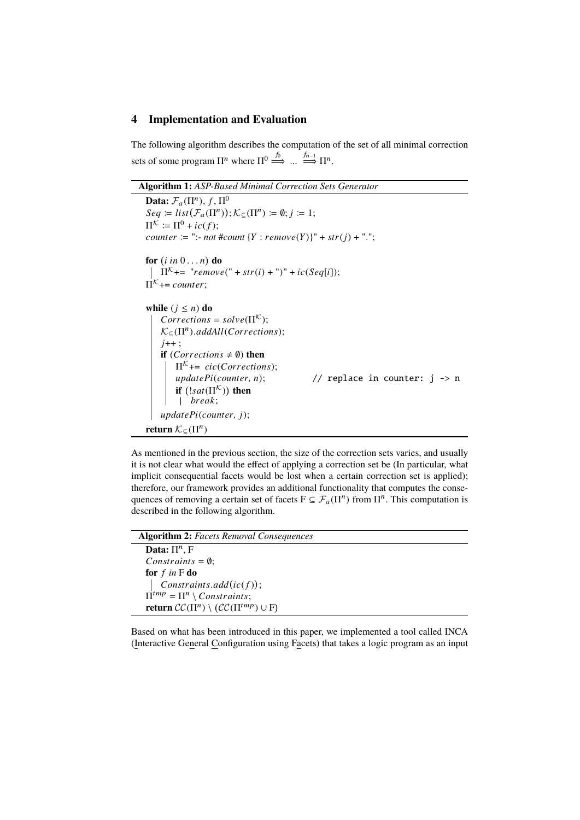## **4 Implementation and Evaluation**

The following algorithm describes the computation of the set of all minimal correction sets of some program  $\Pi^n$  where  $\Pi^0 \stackrel{f_0}{\Longrightarrow} ... \stackrel{f_{n-1}}{\Longrightarrow} \Pi^n$ .

**Algorithm 1:** *ASP-Based Minimal Correction Sets Generator*

**Data:**  $\mathcal{F}_a(\Pi^n)$ ,  $f, \Pi^0$  $Seq \coloneqq list(\mathcal{F}_a(\Pi^n)); \mathcal{K}_{\subseteq}(\Pi^n) \coloneqq \emptyset; j \coloneqq 1;$  $\Pi^{\mathcal{K}} \coloneqq \Pi^0 + ic(f);$  $counter := ":- not #count {Y : remove(Y)}" + str(j) + ".";$ **for**  $(i \text{ in } 0 \dots n)$  **do**<br>  $\prod_{i=1}^{n} \sum_{i=1}^{n} \text{ is a nontrivial.}$  $\Pi^{k+1}$  "*remove*(" + *str*(*i*) + ")" + *ic*(*Seq*[*i*]);  $\Pi^{\mathcal{K}}$ += *counter*; **while** ( $j \leq n$ ) **do**  $Corrections = solve(\Pi^{\mathcal{K}});$ K⊆(Π n ).*addAll*(*Corrections*); *j*++ ; **if** (*Corrections*  $\neq$   $\emptyset$ ) **then** Π <sup>K</sup>+= *cic*(*Corrections*); *updatePi*(*counter, n*); // replace in counter: j -> n **if**  $(!sat(\Pi^{\mathcal{K}}))$  then *break*; *updatePi*(*counter, j*); **return**  $\mathcal{K}_{\subseteq}(\Pi^n)$ 

As mentioned in the previous section, the size of the correction sets varies, and usually it is not clear what would the effect of applying a correction set be (In particular, what implicit consequential facets would be lost when a certain correction set is applied); therefore, our framework provides an additional functionality that computes the consequences of removing a certain set of facets  $F \subseteq \mathcal{F}_a(\Pi^n)$  from  $\Pi^n$ . This computation is described in the following algorithm.

| <b>Algorithm 2:</b> Facets Removal Consequences                         |
|-------------------------------------------------------------------------|
| Data: $\Pi^n$ , F                                                       |
| Constraints = $\emptyset$ ;                                             |
| for $f$ in $F$ do                                                       |
| Constraints.add(ic(f));                                                 |
| $\Pi^{tmp} = \Pi^n \setminus Constraints;$                              |
| return $\mathcal{CC}(\Pi^n) \setminus (\mathcal{CC}(\Pi^{tmp}) \cup F)$ |

Based on what has been introduced in this paper, we implemented a tool called INCA (Interactive General Configuration using Facets) that takes a logic program as an input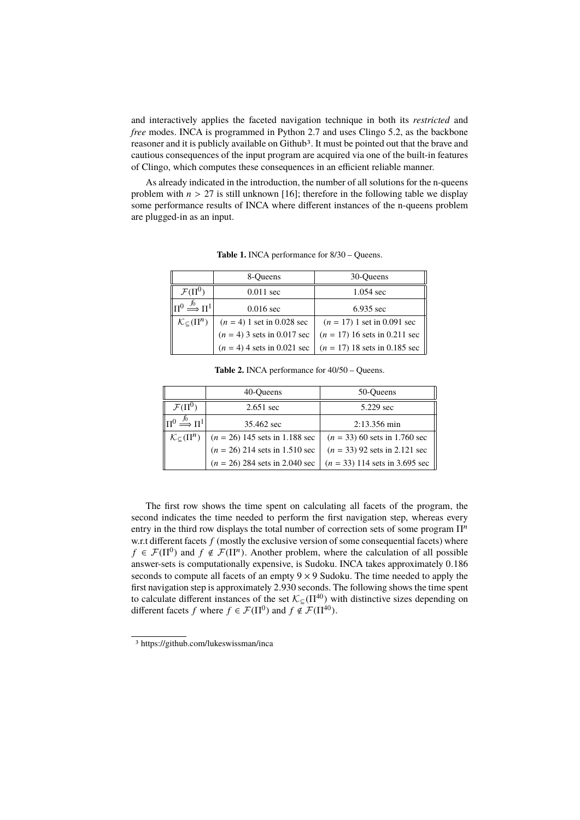and interactively applies the faceted navigation technique in both its *restricted* and *free* modes. INCA is programmed in Python 2.7 and uses Clingo 5.2, as the backbone reasoner and it is publicly available on Github[3](#page-11-0). It must be pointed out that the brave and cautious consequences of the input program are acquired via one of the built-in features of Clingo, which computes these consequences in an efficient reliable manner.

As already indicated in the introduction, the number of all solutions for the n-queens problem with  $n > 27$  is still unknown [\[16\]](#page-13-6); therefore in the following table we display some performance results of INCA where different instances of the n-queens problem are plugged-in as an input.

|                                               | 8-Queens                      | 30-Queens                       |  |
|-----------------------------------------------|-------------------------------|---------------------------------|--|
| $\mathcal{F}(\Pi^0)$                          | $0.011$ sec                   | $1.054$ sec                     |  |
| $\Pi^0 \stackrel{f_0}{\Longrightarrow} \Pi^1$ | $0.016$ sec                   | $6.935 \text{ sec}$             |  |
| $\mathcal{K}_{\subseteq}(\Pi^n)$              | $(n = 4)$ 1 set in 0.028 sec  | $(n = 17)$ 1 set in 0.091 sec   |  |
|                                               | $(n = 4)$ 3 sets in 0.017 sec | $(n = 17) 16$ sets in 0.211 sec |  |
|                                               | $(n = 4)$ 4 sets in 0.021 sec | $(n = 17) 18$ sets in 0.185 sec |  |

**Table 1.** INCA performance for 8/30 – Queens.

Table 2. INCA performance for  $40/50$  – Queens.

|                                                                    | 40-Queens                        | 50-Queens                        |  |
|--------------------------------------------------------------------|----------------------------------|----------------------------------|--|
| $\mathcal{F}(\Pi^0)$                                               | $2.651$ sec                      | 5.229 sec                        |  |
| $\Vert$ $\Pi^0 \stackrel{\text{f}_0}{\Longrightarrow} \Pi^1 \Vert$ | 35.462 sec                       | $2:13.356 \; \text{min}$         |  |
| $\mathcal{K}_{\subset}(\Pi^n)$                                     | $(n = 26)$ 145 sets in 1.188 sec | $(n = 33)$ 60 sets in 1.760 sec  |  |
|                                                                    | $(n = 26)$ 214 sets in 1.510 sec | $(n = 33)$ 92 sets in 2.121 sec  |  |
|                                                                    | $(n = 26)$ 284 sets in 2.040 sec | $(n = 33)$ 114 sets in 3.695 sec |  |

The first row shows the time spent on calculating all facets of the program, the second indicates the time needed to perform the first navigation step, whereas every entry in the third row displays the total number of correction sets of some program Π<sup>*n*</sup> w.r.t different facets *f* (mostly the exclusive version of some consequential facets) where  $f \in \mathcal{F}(\Pi^0)$  and  $f \notin \mathcal{F}(\Pi^n)$ . Another problem, where the calculation of all possible answer-sets is computationally expensive, is Sudoku. INCA takes approximately <sup>0</sup>.<sup>186</sup> seconds to compute all facets of an empty  $9 \times 9$  Sudoku. The time needed to apply the first navigation step is approximately <sup>2</sup>.<sup>930</sup> seconds. The following shows the time spent to calculate different instances of the set  $\mathcal{K}_{\subseteq}(\Pi^{40})$  with distinctive sizes depending on different facets *f* where  $f \in \mathcal{F}(\Pi^0)$  and  $f \notin \mathcal{F}(\Pi^{40})$ .

<span id="page-11-0"></span><sup>3</sup> <https://github.com/lukeswissman/inca>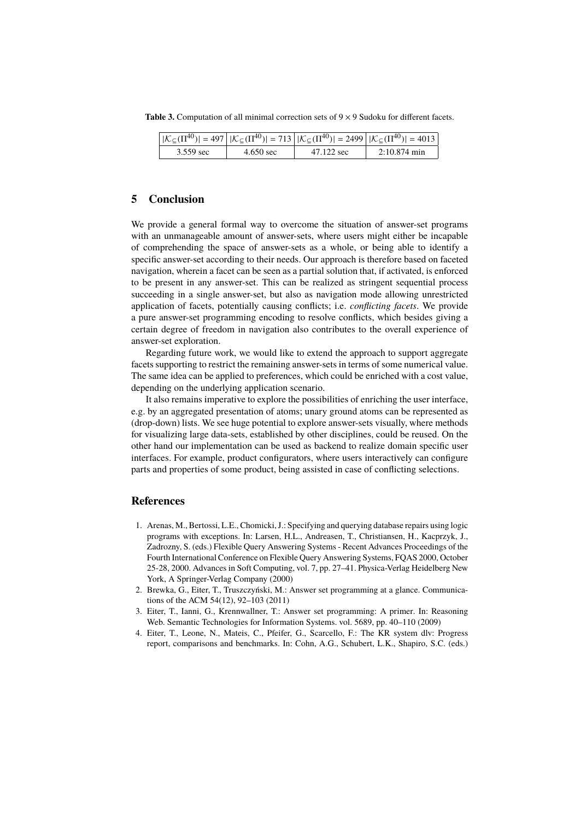**Table 3.** Computation of all minimal correction sets of  $9 \times 9$  Sudoku for different facets.

|           |                     | $ \mathcal{K}_{\subseteq}(\Pi^{40}) $ = 497 $ \mathcal{K}_{\subseteq}(\Pi^{40}) $ = 713 $ \mathcal{K}_{\subseteq}(\Pi^{40}) $ = 2499 $ \mathcal{K}_{\subseteq}(\Pi^{40}) $ = 4013 |                |
|-----------|---------------------|-----------------------------------------------------------------------------------------------------------------------------------------------------------------------------------|----------------|
| 3.559 sec | $4.650 \text{ sec}$ | 47.122 sec                                                                                                                                                                        | $2:10.874$ min |

## **5 Conclusion**

We provide a general formal way to overcome the situation of answer-set programs with an unmanageable amount of answer-sets, where users might either be incapable of comprehending the space of answer-sets as a whole, or being able to identify a specific answer-set according to their needs. Our approach is therefore based on faceted navigation, wherein a facet can be seen as a partial solution that, if activated, is enforced to be present in any answer-set. This can be realized as stringent sequential process succeeding in a single answer-set, but also as navigation mode allowing unrestricted application of facets, potentially causing conflicts; i.e. *conflicting facets*. We provide a pure answer-set programming encoding to resolve conflicts, which besides giving a certain degree of freedom in navigation also contributes to the overall experience of answer-set exploration.

Regarding future work, we would like to extend the approach to support aggregate facets supporting to restrict the remaining answer-sets in terms of some numerical value. The same idea can be applied to preferences, which could be enriched with a cost value, depending on the underlying application scenario.

It also remains imperative to explore the possibilities of enriching the user interface, e.g. by an aggregated presentation of atoms; unary ground atoms can be represented as (drop-down) lists. We see huge potential to explore answer-sets visually, where methods for visualizing large data-sets, established by other disciplines, could be reused. On the other hand our implementation can be used as backend to realize domain specific user interfaces. For example, product configurators, where users interactively can configure parts and properties of some product, being assisted in case of conflicting selections.

### **References**

- <span id="page-12-2"></span>1. Arenas, M., Bertossi, L.E., Chomicki, J.: Specifying and querying database repairs using logic programs with exceptions. In: Larsen, H.L., Andreasen, T., Christiansen, H., Kacprzyk, J., Zadrozny, S. (eds.) Flexible Query Answering Systems - Recent Advances Proceedings of the Fourth International Conference on Flexible Query Answering Systems, FQAS 2000, October 25-28, 2000. Advances in Soft Computing, vol. 7, pp. 27–41. Physica-Verlag Heidelberg New York, A Springer-Verlag Company (2000)
- <span id="page-12-3"></span>2. Brewka, G., Eiter, T., Truszczyński, M.: Answer set programming at a glance. Communications of the ACM 54(12), 92–103 (2011)
- <span id="page-12-0"></span>3. Eiter, T., Ianni, G., Krennwallner, T.: Answer set programming: A primer. In: Reasoning Web. Semantic Technologies for Information Systems. vol. 5689, pp. 40–110 (2009)
- <span id="page-12-1"></span>4. Eiter, T., Leone, N., Mateis, C., Pfeifer, G., Scarcello, F.: The KR system dlv: Progress report, comparisons and benchmarks. In: Cohn, A.G., Schubert, L.K., Shapiro, S.C. (eds.)